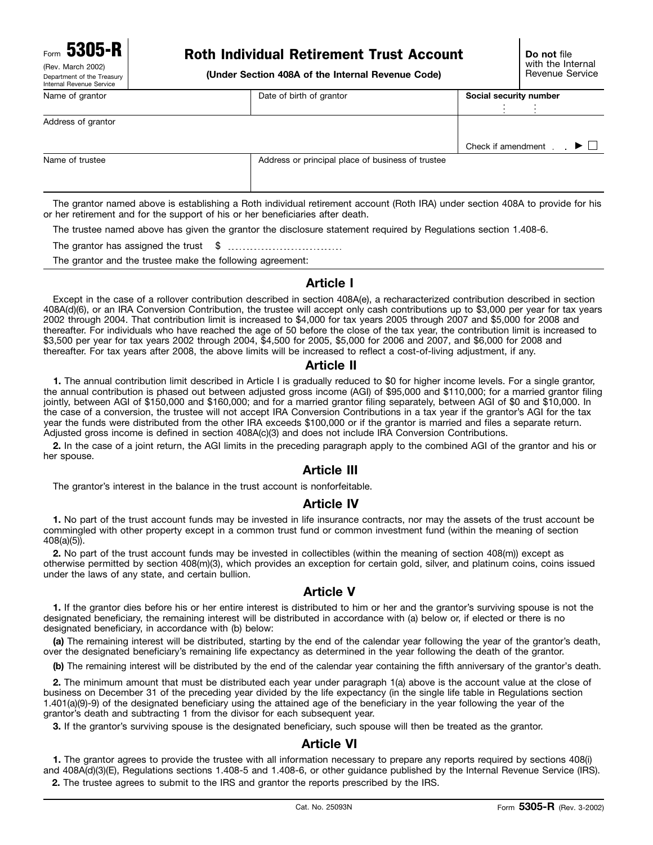(Rev. March 2002)<br>Department of the Treasury

# Form **5305-R Do not** file Roth Individual Retirement Trust Account

(Under Section 408A of the Internal Revenue Code)

| Internal Revenue Service |                                                   |                          |
|--------------------------|---------------------------------------------------|--------------------------|
| Name of grantor          | Date of birth of grantor                          | Social security number   |
|                          |                                                   |                          |
| Address of grantor       |                                                   |                          |
|                          |                                                   |                          |
|                          |                                                   | ▶□<br>Check if amendment |
| Name of trustee          | Address or principal place of business of trustee |                          |
|                          |                                                   |                          |
|                          |                                                   |                          |

The grantor named above is establishing a Roth individual retirement account (Roth IRA) under section 408A to provide for his or her retirement and for the support of his or her beneficiaries after death.

The trustee named above has given the grantor the disclosure statement required by Regulations section 1.408-6.

The grantor has assigned the trust \$

The grantor and the trustee make the following agreement:

#### **Article I**

Except in the case of a rollover contribution described in section 408A(e), a recharacterized contribution described in section 408A(d)(6), or an IRA Conversion Contribution, the trustee will accept only cash contributions up to \$3,000 per year for tax years 2002 through 2004. That contribution limit is increased to \$4,000 for tax years 2005 through 2007 and \$5,000 for 2008 and thereafter. For individuals who have reached the age of 50 before the close of the tax year, the contribution limit is increased to \$3,500 per year for tax years 2002 through 2004, \$4,500 for 2005, \$5,000 for 2006 and 2007, and \$6,000 for 2008 and thereafter. For tax years after 2008, the above limits will be increased to reflect a cost-of-living adjustment, if any.

#### **Article II**

**1.** The annual contribution limit described in Article I is gradually reduced to \$0 for higher income levels. For a single grantor, the annual contribution is phased out between adjusted gross income (AGI) of \$95,000 and \$110,000; for a married grantor filing jointly, between AGI of \$150,000 and \$160,000; and for a married grantor filing separately, between AGI of \$0 and \$10,000. In the case of a conversion, the trustee will not accept IRA Conversion Contributions in a tax year if the grantor's AGI for the tax year the funds were distributed from the other IRA exceeds \$100,000 or if the grantor is married and files a separate return. Adjusted gross income is defined in section 408A(c)(3) and does not include IRA Conversion Contributions.

**2.** In the case of a joint return, the AGI limits in the preceding paragraph apply to the combined AGI of the grantor and his or her spouse.

#### **Article III**

The grantor's interest in the balance in the trust account is nonforfeitable.

#### **Article IV**

**1.** No part of the trust account funds may be invested in life insurance contracts, nor may the assets of the trust account be commingled with other property except in a common trust fund or common investment fund (within the meaning of section 408(a)(5)).

**2.** No part of the trust account funds may be invested in collectibles (within the meaning of section 408(m)) except as otherwise permitted by section 408(m)(3), which provides an exception for certain gold, silver, and platinum coins, coins issued under the laws of any state, and certain bullion.

#### **Article V**

**1.** If the grantor dies before his or her entire interest is distributed to him or her and the grantor's surviving spouse is not the designated beneficiary, the remaining interest will be distributed in accordance with (a) below or, if elected or there is no designated beneficiary, in accordance with (b) below:

**(a)** The remaining interest will be distributed, starting by the end of the calendar year following the year of the grantor's death, over the designated beneficiary's remaining life expectancy as determined in the year following the death of the grantor.

**(b)** The remaining interest will be distributed by the end of the calendar year containing the fifth anniversary of the grantor's death.

**2.** The minimum amount that must be distributed each year under paragraph 1(a) above is the account value at the close of business on December 31 of the preceding year divided by the life expectancy (in the single life table in Regulations section 1.401(a)(9)-9) of the designated beneficiary using the attained age of the beneficiary in the year following the year of the grantor's death and subtracting 1 from the divisor for each subsequent year.

**3.** If the grantor's surviving spouse is the designated beneficiary, such spouse will then be treated as the grantor.

## **Article VI**

**1.** The grantor agrees to provide the trustee with all information necessary to prepare any reports required by sections 408(i) and 408A(d)(3)(E), Regulations sections 1.408-5 and 1.408-6, or other guidance published by the Internal Revenue Service (IRS). **2.** The trustee agrees to submit to the IRS and grantor the reports prescribed by the IRS.